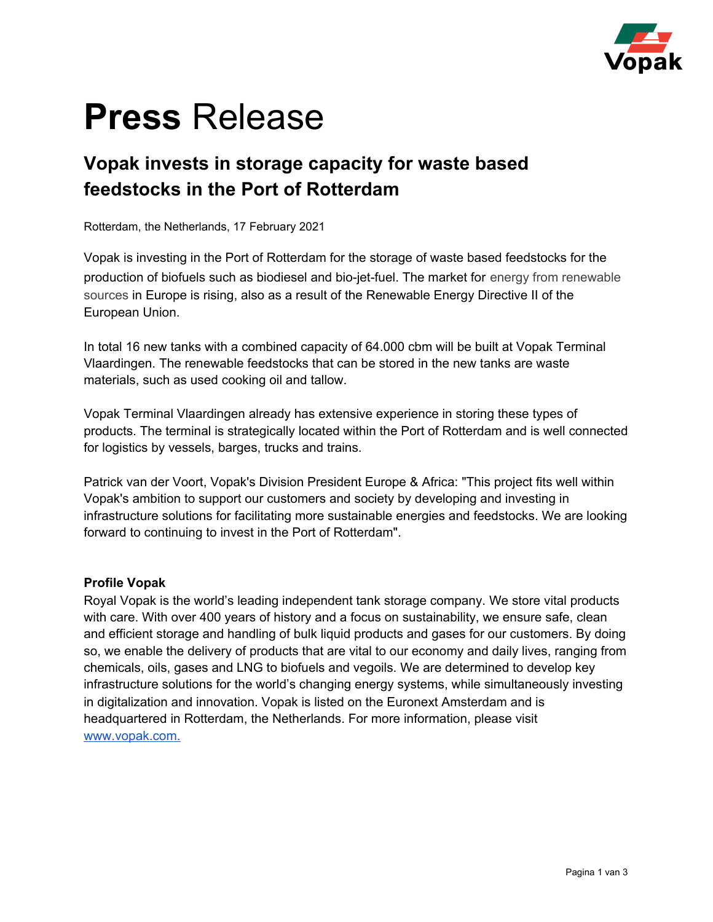

# **Press** Release

### **Vopak invests in storage capacity for waste based feedstocks in the Port of Rotterdam**

Rotterdam, the Netherlands, 17 February 2021

Vopak is investing in the Port of Rotterdam for the storage of waste based feedstocks for the production of biofuels such as biodiesel and bio-jet-fuel. The market for energy from renewable sources in Europe is rising, also as a result of the Renewable Energy Directive II of the European Union.

In total 16 new tanks with a combined capacity of 64.000 cbm will be built at Vopak Terminal Vlaardingen. The renewable feedstocks that can be stored in the new tanks are waste materials, such as used cooking oil and tallow.

Vopak Terminal Vlaardingen already has extensive experience in storing these types of products. The terminal is strategically located within the Port of Rotterdam and is well connected for logistics by vessels, barges, trucks and trains.

Patrick van der Voort, Vopak's Division President Europe & Africa: "This project fits well within Vopak's ambition to support our customers and society by developing and investing in infrastructure solutions for facilitating more sustainable energies and feedstocks. We are looking forward to continuing to invest in the Port of Rotterdam".

#### **Profile Vopak**

Royal Vopak is the world's leading independent tank storage company. We store vital products with care. With over 400 years of history and a focus on sustainability, we ensure safe, clean and efficient storage and handling of bulk liquid products and gases for our customers. By doing so, we enable the delivery of products that are vital to our economy and daily lives, ranging from chemicals, oils, gases and LNG to biofuels and vegoils. We are determined to develop key infrastructure solutions for the world's changing energy systems, while simultaneously investing in digitalization and innovation. Vopak is listed on the Euronext Amsterdam and is headquartered in Rotterdam, the Netherlands. For more information, please visit [www.vopak.com.](http://www.vopak.com./)